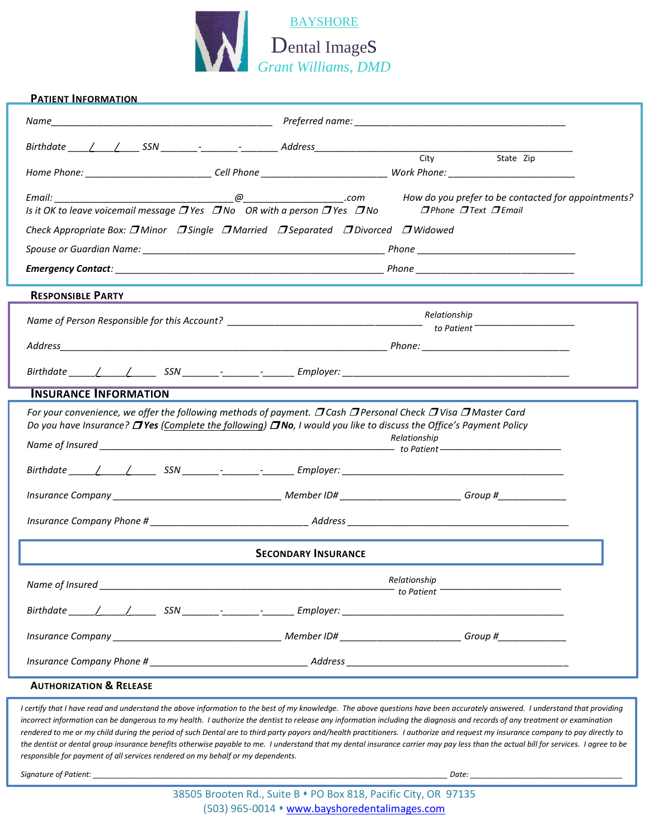

| <b>PATIENT INFORMATION</b>                                                                                   |                                                                                                                                                                                                                                                                    |  |  |  |  |  |  |
|--------------------------------------------------------------------------------------------------------------|--------------------------------------------------------------------------------------------------------------------------------------------------------------------------------------------------------------------------------------------------------------------|--|--|--|--|--|--|
|                                                                                                              |                                                                                                                                                                                                                                                                    |  |  |  |  |  |  |
|                                                                                                              | City                                                                                                                                                                                                                                                               |  |  |  |  |  |  |
|                                                                                                              | State Zip                                                                                                                                                                                                                                                          |  |  |  |  |  |  |
| Is it OK to leave voicemail message $\Box$ Yes $\Box$ No OR with a person $\overline{\Box}$ Yes $\Box$ No    | $I$ Phone $I$ Text $I$ Email                                                                                                                                                                                                                                       |  |  |  |  |  |  |
| Check Appropriate Box: <b>D</b> Minor <b>D</b> Single <b>D</b> Married <b>DSeparated D</b> Divorced DWidowed |                                                                                                                                                                                                                                                                    |  |  |  |  |  |  |
|                                                                                                              |                                                                                                                                                                                                                                                                    |  |  |  |  |  |  |
|                                                                                                              |                                                                                                                                                                                                                                                                    |  |  |  |  |  |  |
| <b>RESPONSIBLE PARTY</b>                                                                                     |                                                                                                                                                                                                                                                                    |  |  |  |  |  |  |
| Name of Person Responsible for this Account? ___________________________________                             | Relationship<br>to Patient $\overline{\phantom{a} a b}$                                                                                                                                                                                                            |  |  |  |  |  |  |
|                                                                                                              |                                                                                                                                                                                                                                                                    |  |  |  |  |  |  |
|                                                                                                              |                                                                                                                                                                                                                                                                    |  |  |  |  |  |  |
|                                                                                                              |                                                                                                                                                                                                                                                                    |  |  |  |  |  |  |
| <b>INSURANCE INFORMATION</b>                                                                                 |                                                                                                                                                                                                                                                                    |  |  |  |  |  |  |
|                                                                                                              | For your convenience, we offer the following methods of payment. $\Box$ Cash $\Box$ Personal Check $\Box$ Visa $\Box$ Master Card<br>Do you have Insurance? $\Box$ Yes (Complete the following) $\Box$ No, I would you like to discuss the Office's Payment Policy |  |  |  |  |  |  |
|                                                                                                              | Relationship                                                                                                                                                                                                                                                       |  |  |  |  |  |  |
|                                                                                                              |                                                                                                                                                                                                                                                                    |  |  |  |  |  |  |
|                                                                                                              |                                                                                                                                                                                                                                                                    |  |  |  |  |  |  |
|                                                                                                              |                                                                                                                                                                                                                                                                    |  |  |  |  |  |  |
| <b>SECONDARY INSURANCE</b>                                                                                   |                                                                                                                                                                                                                                                                    |  |  |  |  |  |  |
|                                                                                                              | Relationship<br>$-$ to Patient $-$                                                                                                                                                                                                                                 |  |  |  |  |  |  |
|                                                                                                              | Birthdate / / / SSN ______- -______- Employer: _________________________________                                                                                                                                                                                   |  |  |  |  |  |  |
|                                                                                                              |                                                                                                                                                                                                                                                                    |  |  |  |  |  |  |
|                                                                                                              |                                                                                                                                                                                                                                                                    |  |  |  |  |  |  |
| <b>AUTHORIZATION &amp; RELEASE</b>                                                                           |                                                                                                                                                                                                                                                                    |  |  |  |  |  |  |

*I certify that I have read and understand the above information to the best of my knowledge. The above questions have been accurately answered. I understand that providing* incorrect information can be dangerous to my health. I authorize the dentist to release any information including the diagnosis and records of any treatment or examination *rendered to me or my child during the period of such Dental are to third party payors and/health practitioners. I authorize and request my insurance company to pay directly to the dentist or dental group insurance benefits otherwise payable to me. I understand that my dental insurance carrier may pay less than the actual bill for services. I agree to be responsible for payment of all services rendered on my behalf or my dependents.* 

*Signature of Patient: \_\_\_\_\_\_\_\_\_\_\_\_\_\_\_\_\_\_\_\_\_\_\_\_\_\_\_\_\_\_\_\_\_\_\_\_\_\_\_\_\_\_\_\_\_\_\_\_\_\_\_\_\_\_\_\_\_\_\_\_\_\_\_\_\_\_\_\_\_\_\_\_\_\_\_\_\_\_\_\_\_\_\_\_ Date: \_\_\_\_\_\_\_\_\_\_\_\_\_\_\_\_\_\_\_\_\_\_\_\_\_\_\_\_\_\_\_\_\_\_\_\_*